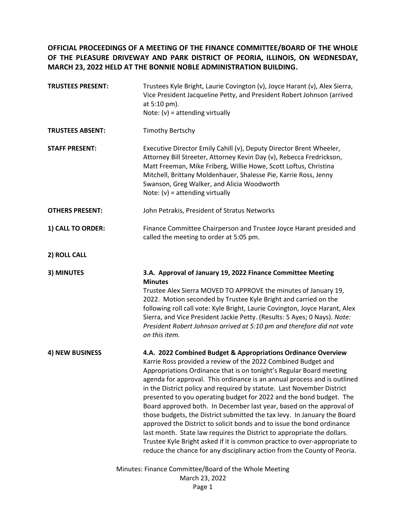**OFFICIAL PROCEEDINGS OF A MEETING OF THE FINANCE COMMITTEE/BOARD OF THE WHOLE OF THE PLEASURE DRIVEWAY AND PARK DISTRICT OF PEORIA, ILLINOIS, ON WEDNESDAY, MARCH 23, 2022 HELD AT THE BONNIE NOBLE ADMINISTRATION BUILDING.**

| <b>TRUSTEES PRESENT:</b>                                                          | Trustees Kyle Bright, Laurie Covington (v), Joyce Harant (v), Alex Sierra,<br>Vice President Jacqueline Petty, and President Robert Johnson (arrived<br>at 5:10 pm).<br>Note: $(v)$ = attending virtually                                                                                                                                                                                                                                                                                                                                                                                                                                                                                                                                                                                                                                                                                            |
|-----------------------------------------------------------------------------------|------------------------------------------------------------------------------------------------------------------------------------------------------------------------------------------------------------------------------------------------------------------------------------------------------------------------------------------------------------------------------------------------------------------------------------------------------------------------------------------------------------------------------------------------------------------------------------------------------------------------------------------------------------------------------------------------------------------------------------------------------------------------------------------------------------------------------------------------------------------------------------------------------|
| <b>TRUSTEES ABSENT:</b>                                                           | <b>Timothy Bertschy</b>                                                                                                                                                                                                                                                                                                                                                                                                                                                                                                                                                                                                                                                                                                                                                                                                                                                                              |
| <b>STAFF PRESENT:</b>                                                             | Executive Director Emily Cahill (v), Deputy Director Brent Wheeler,<br>Attorney Bill Streeter, Attorney Kevin Day (v), Rebecca Fredrickson,<br>Matt Freeman, Mike Friberg, Willie Howe, Scott Loftus, Christina<br>Mitchell, Brittany Moldenhauer, Shalesse Pie, Karrie Ross, Jenny<br>Swanson, Greg Walker, and Alicia Woodworth<br>Note: $(v)$ = attending virtually                                                                                                                                                                                                                                                                                                                                                                                                                                                                                                                               |
| <b>OTHERS PRESENT:</b>                                                            | John Petrakis, President of Stratus Networks                                                                                                                                                                                                                                                                                                                                                                                                                                                                                                                                                                                                                                                                                                                                                                                                                                                         |
| 1) CALL TO ORDER:                                                                 | Finance Committee Chairperson and Trustee Joyce Harant presided and<br>called the meeting to order at 5:05 pm.                                                                                                                                                                                                                                                                                                                                                                                                                                                                                                                                                                                                                                                                                                                                                                                       |
| 2) ROLL CALL                                                                      |                                                                                                                                                                                                                                                                                                                                                                                                                                                                                                                                                                                                                                                                                                                                                                                                                                                                                                      |
| 3) MINUTES                                                                        | 3.A. Approval of January 19, 2022 Finance Committee Meeting<br><b>Minutes</b><br>Trustee Alex Sierra MOVED TO APPROVE the minutes of January 19,<br>2022. Motion seconded by Trustee Kyle Bright and carried on the<br>following roll call vote: Kyle Bright, Laurie Covington, Joyce Harant, Alex<br>Sierra, and Vice President Jackie Petty. (Results: 5 Ayes; 0 Nays). Note:<br>President Robert Johnson arrived at 5:10 pm and therefore did not vote<br>on this item.                                                                                                                                                                                                                                                                                                                                                                                                                           |
| 4) NEW BUSINESS                                                                   | 4.A. 2022 Combined Budget & Appropriations Ordinance Overview<br>Karrie Ross provided a review of the 2022 Combined Budget and<br>Appropriations Ordinance that is on tonight's Regular Board meeting<br>agenda for approval. This ordinance is an annual process and is outlined<br>in the District policy and required by statute. Last November District<br>presented to you operating budget for 2022 and the bond budget. The<br>Board approved both. In December last year, based on the approval of<br>those budgets, the District submitted the tax levy. In January the Board<br>approved the District to solicit bonds and to issue the bond ordinance<br>last month. State law requires the District to appropriate the dollars.<br>Trustee Kyle Bright asked if it is common practice to over-appropriate to<br>reduce the chance for any disciplinary action from the County of Peoria. |
| Minutes: Finance Committee/Board of the Whole Meeting<br>March 23, 2022<br>Page 1 |                                                                                                                                                                                                                                                                                                                                                                                                                                                                                                                                                                                                                                                                                                                                                                                                                                                                                                      |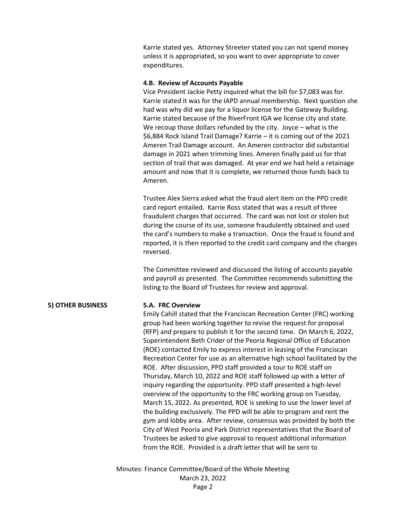Karrie stated yes. Attorney Streeter stated you can not spend money unless it is appropriated, so you want to over appropriate to cover expenditures.

## **4.B. Review of Accounts Payable**

Vice President Jackie Petty inquired what the bill for \$7,083 was for. Karrie stated it was for the IAPD annual membership. Next question she had was why did we pay for a liquor license for the Gateway Building. Karrie stated because of the RiverFront IGA we license city and state. We recoup those dollars refunded by the city. Joyce – what is the \$6,884 Rock Island Trail Damage? Karrie – it is coming out of the 2021 Ameren Trail Damage account. An Ameren contractor did substantial damage in 2021 when trimming lines. Ameren finally paid us for that section of trail that was damaged. At year end we had held a retainage amount and now that it is complete, we returned those funds back to Ameren.

Trustee Alex Sierra asked what the fraud alert item on the PPD credit card report entailed. Karrie Ross stated that was a result of three fraudulent charges that occurred. The card was not lost or stolen but during the course of its use, someone fraudulently obtained and used the card's numbers to make a transaction. Once the fraud is found and reported, it is then reported to the credit card company and the charges reversed.

The Committee reviewed and discussed the listing of accounts payable and payroll as presented. The Committee recommends submitting the listing to the Board of Trustees for review and approval.

# **5) OTHER BUSINESS 5.A. FRC Overview**

Emily Cahill stated that the Franciscan Recreation Center (FRC) working group had been working together to revise the request for proposal (RFP) and prepare to publish it for the second time. On March 6, 2022, Superintendent Beth Crider of the Peoria Regional Office of Education (ROE) contacted Emily to express interest in leasing of the Franciscan Recreation Center for use as an alternative high school facilitated by the ROE. After discussion, PPD staff provided a tour to ROE staff on Thursday, March 10, 2022 and ROE staff followed up with a letter of inquiry regarding the opportunity. PPD staff presented a high-level overview of the opportunity to the FRC working group on Tuesday, March 15, 2022. As presented, ROE is seeking to use the lower level of the building exclusively. The PPD will be able to program and rent the gym and lobby area. After review, consensus was provided by both the City of West Peoria and Park District representatives that the Board of Trustees be asked to give approval to request additional information from the ROE. Provided is a draft letter that will be sent to

Minutes: Finance Committee/Board of the Whole Meeting March 23, 2022 Page 2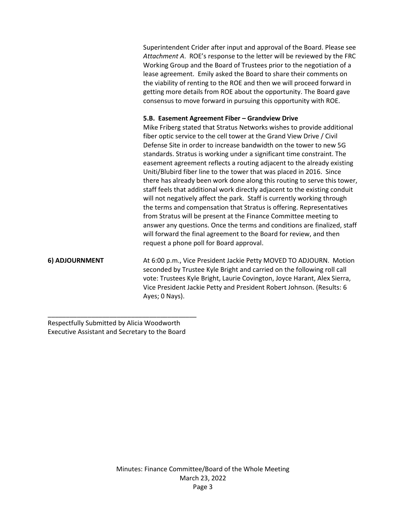Superintendent Crider after input and approval of the Board. Please see *Attachment A*. ROE's response to the letter will be reviewed by the FRC Working Group and the Board of Trustees prior to the negotiation of a lease agreement. Emily asked the Board to share their comments on the viability of renting to the ROE and then we will proceed forward in getting more details from ROE about the opportunity. The Board gave consensus to move forward in pursuing this opportunity with ROE.

### **5.B. Easement Agreement Fiber – Grandview Drive**

Mike Friberg stated that Stratus Networks wishes to provide additional fiber optic service to the cell tower at the Grand View Drive / Civil Defense Site in order to increase bandwidth on the tower to new 5G standards. Stratus is working under a significant time constraint. The easement agreement reflects a routing adjacent to the already existing Uniti/Blubird fiber line to the tower that was placed in 2016. Since there has already been work done along this routing to serve this tower, staff feels that additional work directly adjacent to the existing conduit will not negatively affect the park. Staff is currently working through the terms and compensation that Stratus is offering. Representatives from Stratus will be present at the Finance Committee meeting to answer any questions. Once the terms and conditions are finalized, staff will forward the final agreement to the Board for review, and then request a phone poll for Board approval.

**6) ADJOURNMENT** At 6:00 p.m., Vice President Jackie Petty MOVED TO ADJOURN. Motion seconded by Trustee Kyle Bright and carried on the following roll call vote: Trustees Kyle Bright, Laurie Covington, Joyce Harant, Alex Sierra, Vice President Jackie Petty and President Robert Johnson. (Results: 6 Ayes; 0 Nays).

Respectfully Submitted by Alicia Woodworth Executive Assistant and Secretary to the Board

\_\_\_\_\_\_\_\_\_\_\_\_\_\_\_\_\_\_\_\_\_\_\_\_\_\_\_\_\_\_\_\_\_\_\_\_\_\_\_\_\_